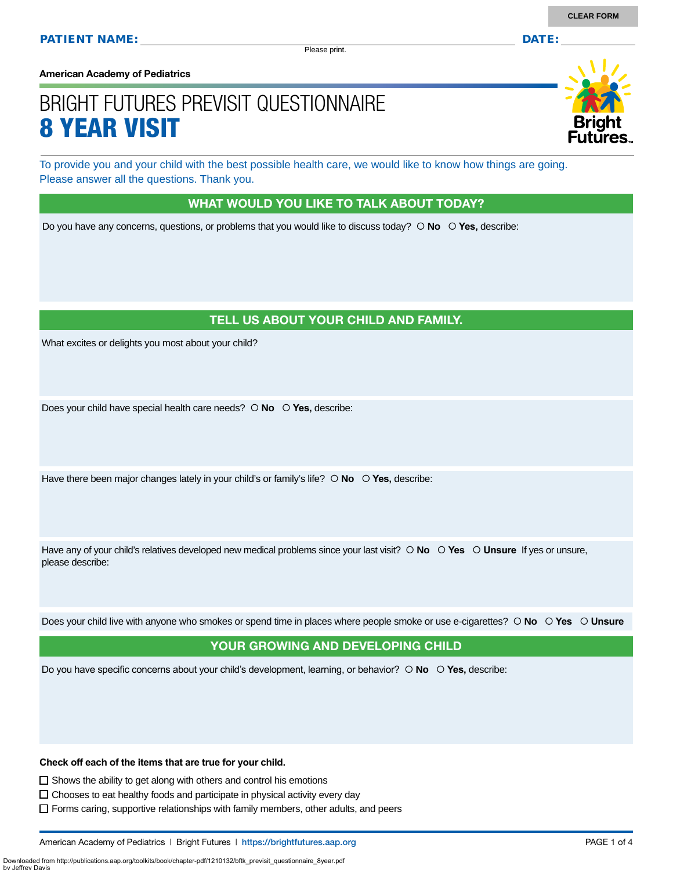Please print.

**American Academy of Pediatrics**

# BRIGHT FUTURES PREVISIT QUESTIONNAIRE 8 YEAR VISIT

To provide you and your child with the best possible health care, we would like to know how things are going. Please answer all the questions. Thank you.

#### WHAT WOULD YOU LIKE TO TALK ABOUT TODAY?

Do you have any concerns, questions, or problems that you would like to discuss today?  $\circ$  **No**  $\circ$  **Yes**, describe:

## TELL US ABOUT YOUR CHILD AND FAMILY.

What excites or delights you most about your child?

Does your child have special health care needs?  $\circ$  **No**  $\circ$  **Yes**, describe:

Have there been major changes lately in your child's or family's life?  $\circ$  **No**  $\circ$  **Yes,** describe:

Have any of your child's relatives developed new medical problems since your last visit?  $\circ$  **No**  $\circ$  **Yes**  $\circ$  **Unsure** If yes or unsure, please describe:

Does your child live with anyone who smokes or spend time in places where people smoke or use e-cigarettes?  **No Yes Unsure**

## YOUR GROWING AND DEVELOPING CHILD

Do you have specific concerns about your child's development, learning, or behavior?  **No Yes,** describe:

**Check off each of the items that are true for your child.** 

 $\square$  Shows the ability to get along with others and control his emotions

Downloaded from http://publications.aap.org/toolkits/book/chapter-pdf/1210132/bftk\_previsit\_questionnaire\_8year.pdf

by Jeffrey Davis

 $\Box$  Chooses to eat healthy foods and participate in physical activity every day

 $\Box$  Forms caring, supportive relationships with family members, other adults, and peers



**CLEAR FORM**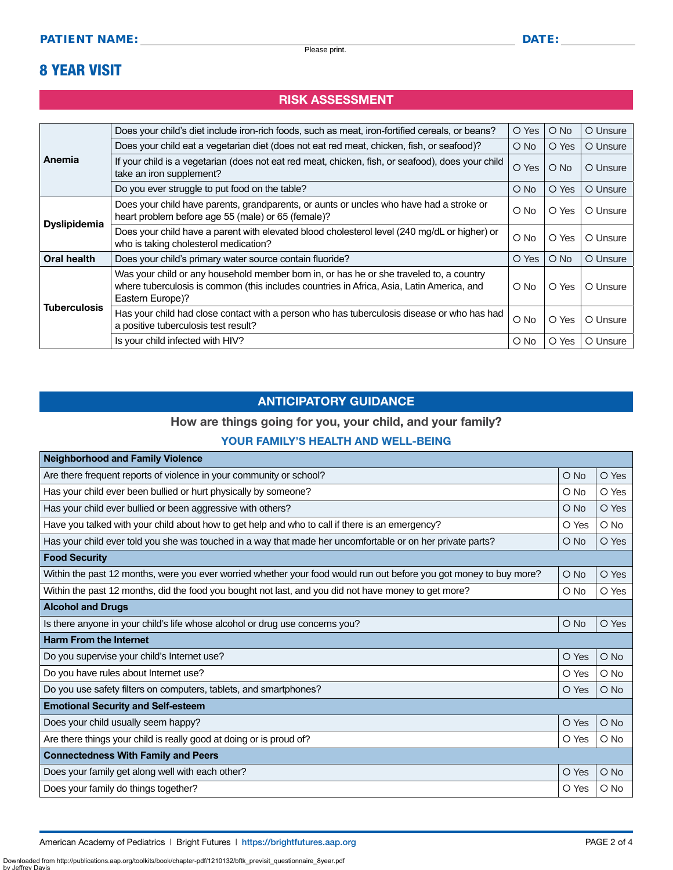## 8 YEAR VISIT

### RISK ASSESSMENT

| Anemia<br><b>Dyslipidemia</b> | Does your child's diet include iron-rich foods, such as meat, iron-fortified cereals, or beans?                                                                                                          | O Yes         | $O$ No        | O Unsure |
|-------------------------------|----------------------------------------------------------------------------------------------------------------------------------------------------------------------------------------------------------|---------------|---------------|----------|
|                               | Does your child eat a vegetarian diet (does not eat red meat, chicken, fish, or seafood)?                                                                                                                | $\bigcirc$ No | O Yes         | O Unsure |
|                               | If your child is a vegetarian (does not eat red meat, chicken, fish, or seafood), does your child<br>take an iron supplement?                                                                            | O Yes         | $\circ$ No    | O Unsure |
|                               | Do you ever struggle to put food on the table?                                                                                                                                                           | O No          | O Yes         | O Unsure |
|                               | Does your child have parents, grandparents, or aunts or uncles who have had a stroke or<br>heart problem before age 55 (male) or 65 (female)?                                                            | O No          | O Yes         | O Unsure |
|                               | Does your child have a parent with elevated blood cholesterol level (240 mg/dL or higher) or<br>who is taking cholesterol medication?                                                                    | O No          | O Yes         | O Unsure |
| <b>Oral health</b>            | Does your child's primary water source contain fluoride?                                                                                                                                                 | O Yes         | $\bigcirc$ No | O Unsure |
|                               | Was your child or any household member born in, or has he or she traveled to, a country<br>where tuberculosis is common (this includes countries in Africa, Asia, Latin America, and<br>Eastern Europe)? | O No          | O Yes         | O Unsure |
| <b>Tuberculosis</b>           | Has your child had close contact with a person who has tuberculosis disease or who has had<br>a positive tuberculosis test result?                                                                       | $\bigcirc$ No | O Yes         | O Unsure |
|                               | Is your child infected with HIV?                                                                                                                                                                         | O No          | O Yes         | O Unsure |

### ANTICIPATORY GUIDANCE

#### How are things going for you, your child, and your family?

#### YOUR FAMILY'S HEALTH AND WELL-BEING

| <b>Neighborhood and Family Violence</b>                                                                            |               |        |
|--------------------------------------------------------------------------------------------------------------------|---------------|--------|
| Are there frequent reports of violence in your community or school?                                                | $O$ No        | O Yes  |
| Has your child ever been bullied or hurt physically by someone?                                                    | $O$ No        | O Yes  |
| Has your child ever bullied or been aggressive with others?                                                        | $O$ No        | O Yes  |
| Have you talked with your child about how to get help and who to call if there is an emergency?                    | O Yes         | O No   |
| Has your child ever told you she was touched in a way that made her uncomfortable or on her private parts?         | O No          | O Yes  |
| <b>Food Security</b>                                                                                               |               |        |
| Within the past 12 months, were you ever worried whether your food would run out before you got money to buy more? | $O$ No        | O Yes  |
| Within the past 12 months, did the food you bought not last, and you did not have money to get more?               | $\circ$ No    | O Yes  |
| <b>Alcohol and Drugs</b>                                                                                           |               |        |
| Is there anyone in your child's life whose alcohol or drug use concerns you?                                       | $\bigcirc$ No | O Yes  |
| <b>Harm From the Internet</b>                                                                                      |               |        |
| Do you supervise your child's Internet use?                                                                        | O Yes         | O No   |
| Do you have rules about Internet use?                                                                              | O Yes         | $O$ No |
| Do you use safety filters on computers, tablets, and smartphones?                                                  | O Yes         | $O$ No |
| <b>Emotional Security and Self-esteem</b>                                                                          |               |        |
| Does your child usually seem happy?                                                                                | O Yes         | $O$ No |
| Are there things your child is really good at doing or is proud of?                                                | O Yes         | $O$ No |
| <b>Connectedness With Family and Peers</b>                                                                         |               |        |
| Does your family get along well with each other?                                                                   | O Yes         | O No   |
| Does your family do things together?                                                                               | O Yes         | O No   |
|                                                                                                                    |               |        |

Downloaded from http://publications.aap.org/toolkits/book/chapter-pdf/1210132/bftk\_previsit\_questionnaire\_8year.pdf

by Jeffrey I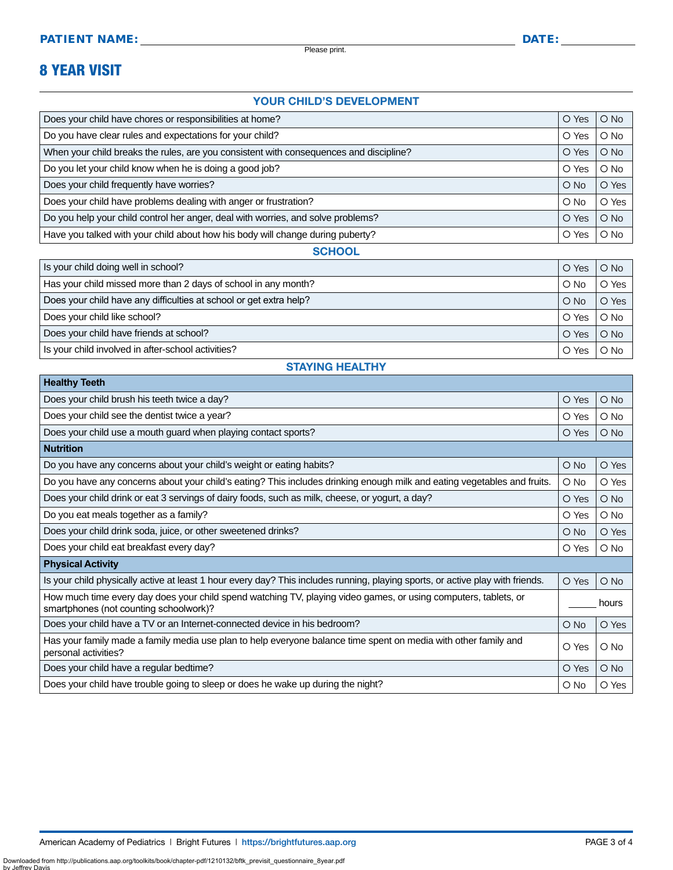Please print.

# 8 YEAR VISIT

#### YOUR CHILD'S DEVELOPMENT

| Does your child have chores or responsibilities at home?                               |            | $O$ No        |
|----------------------------------------------------------------------------------------|------------|---------------|
| Do you have clear rules and expectations for your child?                               |            | $O$ No        |
| When your child breaks the rules, are you consistent with consequences and discipline? |            | $\bigcirc$ No |
| Do you let your child know when he is doing a good job?                                | O Yes      | $\bigcirc$ No |
| Does your child frequently have worries?                                               | $O$ No     | O Yes         |
| Does your child have problems dealing with anger or frustration?                       | $\circ$ No | O Yes         |
| Do you help your child control her anger, deal with worries, and solve problems?       |            | $O$ No        |
| Have you talked with your child about how his body will change during puberty?         |            | $\circ$ No    |

#### **SCHOOL**

| Is your child doing well in school?                                | O Yes         | O No   |
|--------------------------------------------------------------------|---------------|--------|
| Has your child missed more than 2 days of school in any month?     | $\bigcirc$ No | O Yes  |
| Does your child have any difficulties at school or get extra help? | $O$ No        | O Yes  |
| Does your child like school?                                       | O Yes         | $O$ No |
| Does your child have friends at school?                            | O Yes         | $O$ No |
| Is your child involved in after-school activities?                 | O Yes         | O No   |

#### STAYING HEALTHY

| <b>Healthy Teeth</b>                                                                                                                                      |            |               |
|-----------------------------------------------------------------------------------------------------------------------------------------------------------|------------|---------------|
| Does your child brush his teeth twice a day?                                                                                                              | O Yes      | $O$ No        |
| Does your child see the dentist twice a year?                                                                                                             | O Yes      | $O$ No        |
| Does your child use a mouth guard when playing contact sports?                                                                                            | O Yes      | $O$ No        |
| <b>Nutrition</b>                                                                                                                                          |            |               |
| Do you have any concerns about your child's weight or eating habits?                                                                                      | O No       | O Yes         |
| Do you have any concerns about your child's eating? This includes drinking enough milk and eating vegetables and fruits.                                  | O No       | O Yes         |
| Does your child drink or eat 3 servings of dairy foods, such as milk, cheese, or yogurt, a day?                                                           | O Yes      | $O$ No        |
| Do you eat meals together as a family?                                                                                                                    | O Yes      | $O$ No        |
| Does your child drink soda, juice, or other sweetened drinks?                                                                                             | O No       | O Yes         |
| Does your child eat breakfast every day?                                                                                                                  | O Yes      | $O$ No        |
| <b>Physical Activity</b>                                                                                                                                  |            |               |
| Is your child physically active at least 1 hour every day? This includes running, playing sports, or active play with friends.                            | O Yes      | $O$ No        |
| How much time every day does your child spend watching TV, playing video games, or using computers, tablets, or<br>smartphones (not counting schoolwork)? |            | hours         |
| Does your child have a TV or an Internet-connected device in his bedroom?                                                                                 | O No       | O Yes         |
| Has your family made a family media use plan to help everyone balance time spent on media with other family and<br>personal activities?                   | O Yes      | $O$ No        |
| Does your child have a regular bedtime?                                                                                                                   | O Yes      | $\bigcirc$ No |
| Does your child have trouble going to sleep or does he wake up during the night?                                                                          | $\circ$ No | O Yes         |

Downloaded from http://publications.aap.org/toolkits/book/chapter-pdf/1210132/bftk\_previsit\_questionnaire\_8year.pdf

by Jeffrey Da